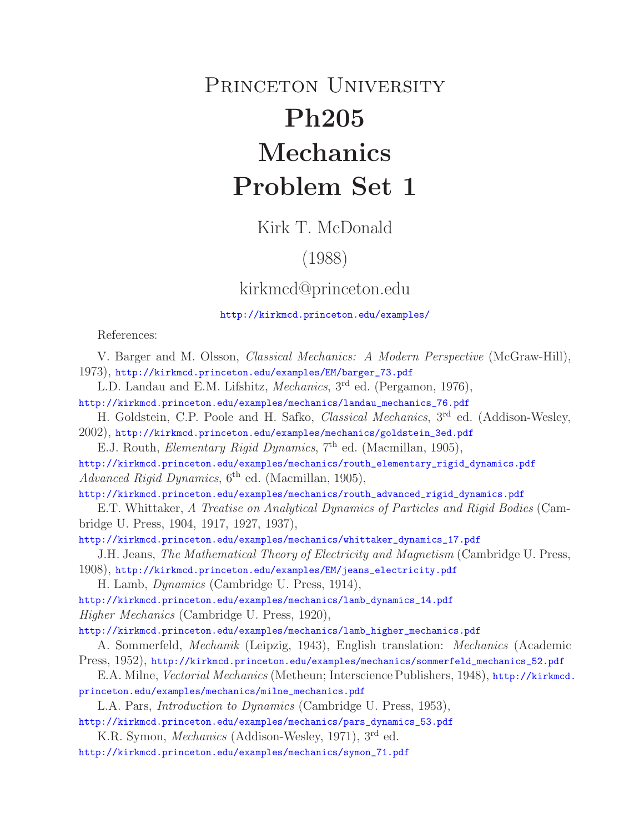# PRINCETON UNIVERSITY **Ph205 Mechanics Problem Set 1**

Kirk T. McDonald

## (1988)

### kirkmcd@princeton.edu

#### http://kirkmcd.princeton.edu/examples/

References:

V. Barger and M. Olsson, *Classical Mechanics: A Modern Perspective* (McGraw-Hill), 1973), http://kirkmcd.princeton.edu/examples/EM/barger\_73.pdf

L.D. Landau and E.M. Lifshitz, *Mechanics*, 3rd ed. (Pergamon, 1976),

http://kirkmcd.princeton.edu/examples/mechanics/landau\_mechanics\_76.pdf H. Goldstein, C.P. Poole and H. Safko, *Classical Mechanics*, 3rd ed. (Addison-Wesley,

2002), http://kirkmcd.princeton.edu/examples/mechanics/goldstein\_3ed.pdf

E.J. Routh, *Elementary Rigid Dynamics*, 7th ed. (Macmillan, 1905),

http://kirkmcd.princeton.edu/examples/mechanics/routh\_elementary\_rigid\_dynamics.pdf *Advanced Rigid Dynamics*, 6th ed. (Macmillan, 1905),

http://kirkmcd.princeton.edu/examples/mechanics/routh\_advanced\_rigid\_dynamics.pdf

E.T. Whittaker, *A Treatise on Analytical Dynamics of Particles and Rigid Bodies* (Cambridge U. Press, 1904, 1917, 1927, 1937),

http://kirkmcd.princeton.edu/examples/mechanics/whittaker\_dynamics\_17.pdf

J.H. Jeans, *The Mathematical Theory of Electricity and Magnetism* (Cambridge U. Press, 1908), http://kirkmcd.princeton.edu/examples/EM/jeans\_electricity.pdf

H. Lamb, *Dynamics* (Cambridge U. Press, 1914),

http://kirkmcd.princeton.edu/examples/mechanics/lamb\_dynamics\_14.pdf *Higher Mechanics* (Cambridge U. Press, 1920),

http://kirkmcd.princeton.edu/examples/mechanics/lamb\_higher\_mechanics.pdf

A. Sommerfeld, *Mechanik* (Leipzig, 1943), English translation: *Mechanics* (Academic Press, 1952), http://kirkmcd.princeton.edu/examples/mechanics/sommerfeld\_mechanics\_52.pdf

E.A. Milne, *Vectorial Mechanics* (Metheun; Interscience Publishers, 1948), http://kirkmcd. princeton.edu/examples/mechanics/milne\_mechanics.pdf

L.A. Pars, *Introduction to Dynamics* (Cambridge U. Press, 1953),

http://kirkmcd.princeton.edu/examples/mechanics/pars\_dynamics\_53.pdf

K.R. Symon, *Mechanics* (Addison-Wesley, 1971), 3rd ed. http://kirkmcd.princeton.edu/examples/mechanics/symon\_71.pdf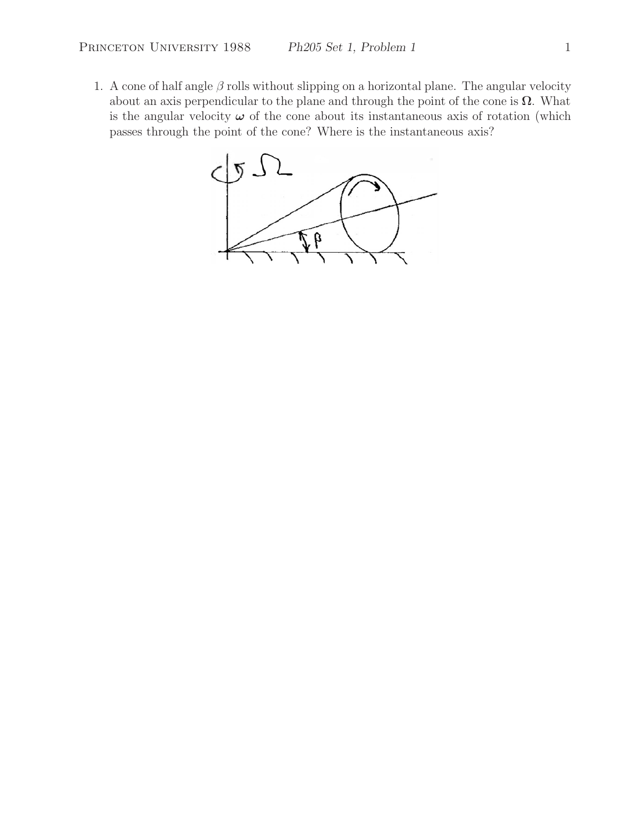1. A cone of half angle  $\beta$  rolls without slipping on a horizontal plane. The angular velocity about an axis perpendicular to the plane and through the point of the cone is  $\Omega$ . What is the angular velocity  $\omega$  of the cone about its instantaneous axis of rotation (which passes through the point of the cone? Where is the instantaneous axis?

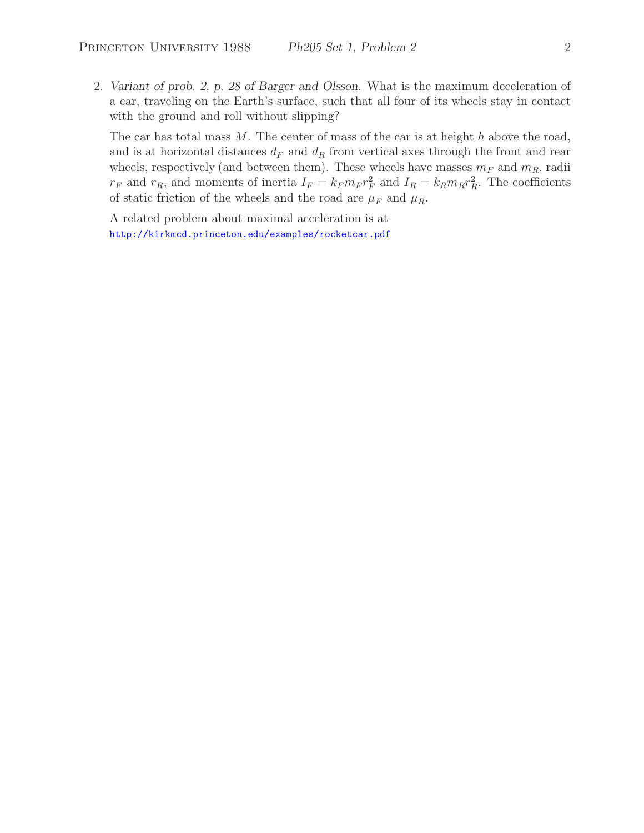2. *Variant of prob. 2, p. 28 of Barger and Olsson.* What is the maximum deceleration of a car, traveling on the Earth's surface, such that all four of its wheels stay in contact with the ground and roll without slipping?

The car has total mass  $M$ . The center of mass of the car is at height  $h$  above the road, and is at horizontal distances  $d_F$  and  $d_R$  from vertical axes through the front and rear wheels, respectively (and between them). These wheels have masses  $m_F$  and  $m_R$ , radii  $r_F$  and  $r_R$ , and moments of inertia  $I_F = k_F m_F r_F^2$  and  $I_R = k_R m_R r_R^2$ . The coefficients of static friction of the wheels and the road are  $\mu_F$  and  $\mu_R$ .

A related problem about maximal acceleration is at http://kirkmcd.princeton.edu/examples/rocketcar.pdf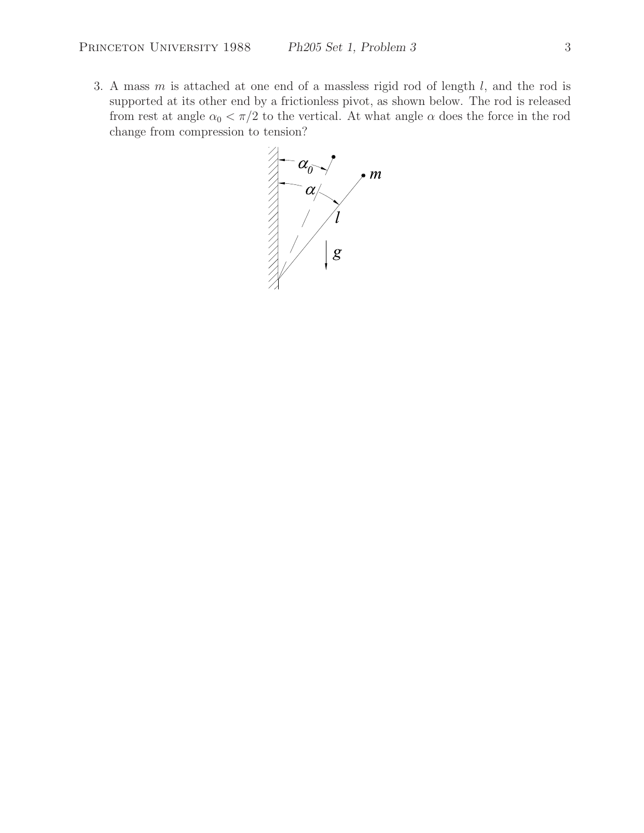3. A mass  $m$  is attached at one end of a massless rigid rod of length  $l$ , and the rod is supported at its other end by a frictionless pivot, as shown below. The rod is released from rest at angle  $\alpha_0 < \pi/2$  to the vertical. At what angle  $\alpha$  does the force in the rod change from compression to tension?

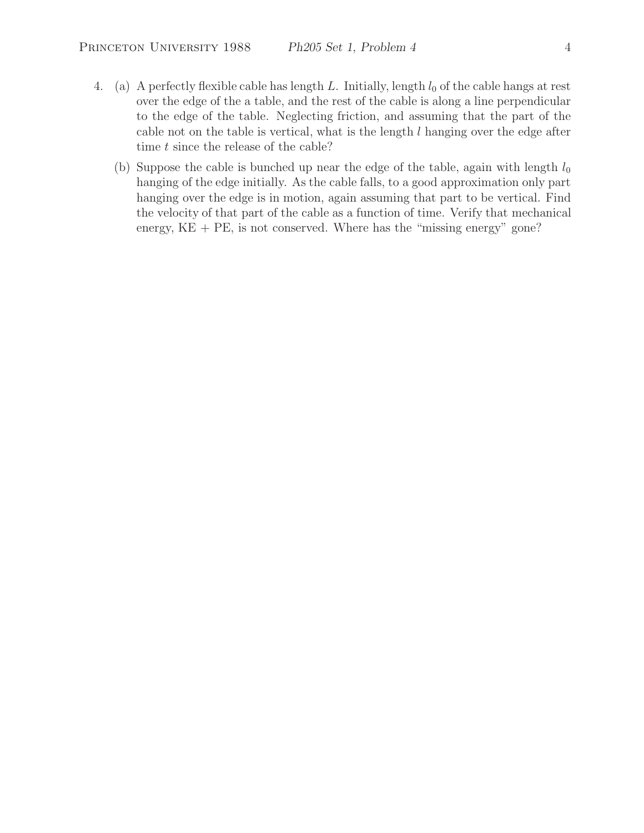- 4. (a) A perfectly flexible cable has length L. Initially, length  $l_0$  of the cable hangs at rest over the edge of the a table, and the rest of the cable is along a line perpendicular to the edge of the table. Neglecting friction, and assuming that the part of the cable not on the table is vertical, what is the length  $l$  hanging over the edge after time t since the release of the cable?
	- (b) Suppose the cable is bunched up near the edge of the table, again with length  $l_0$ hanging of the edge initially. As the cable falls, to a good approximation only part hanging over the edge is in motion, again assuming that part to be vertical. Find the velocity of that part of the cable as a function of time. Verify that mechanical energy,  $KE + PE$ , is not conserved. Where has the "missing energy" gone?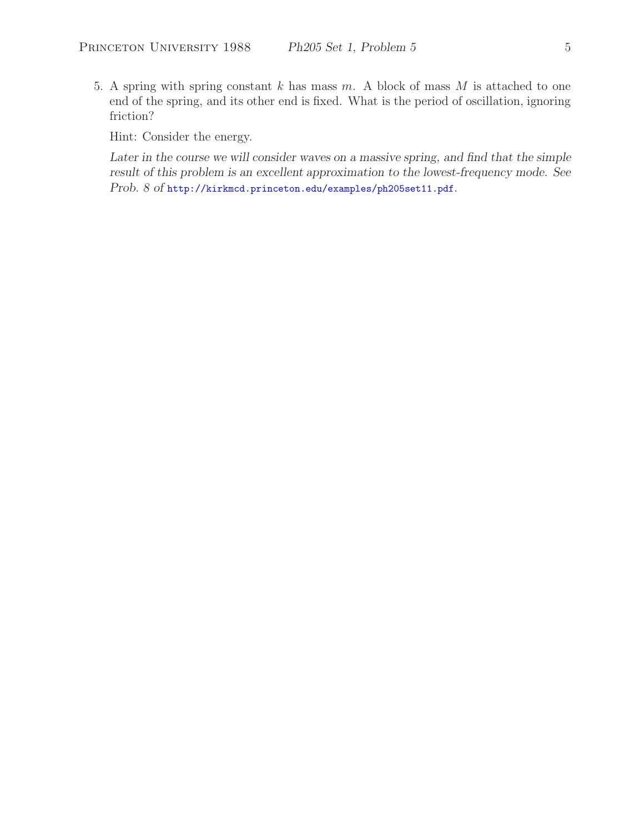5. A spring with spring constant  $k$  has mass  $m$ . A block of mass  $M$  is attached to one end of the spring, and its other end is fixed. What is the period of oscillation, ignoring friction?

Hint: Consider the energy.

Later in the course we will consider waves on a massive spring, and find that the simple *result of this problem is an excellent approximation to the lowest-frequency mode. See Prob. 8 of* http://kirkmcd.princeton.edu/examples/ph205set11.pdf.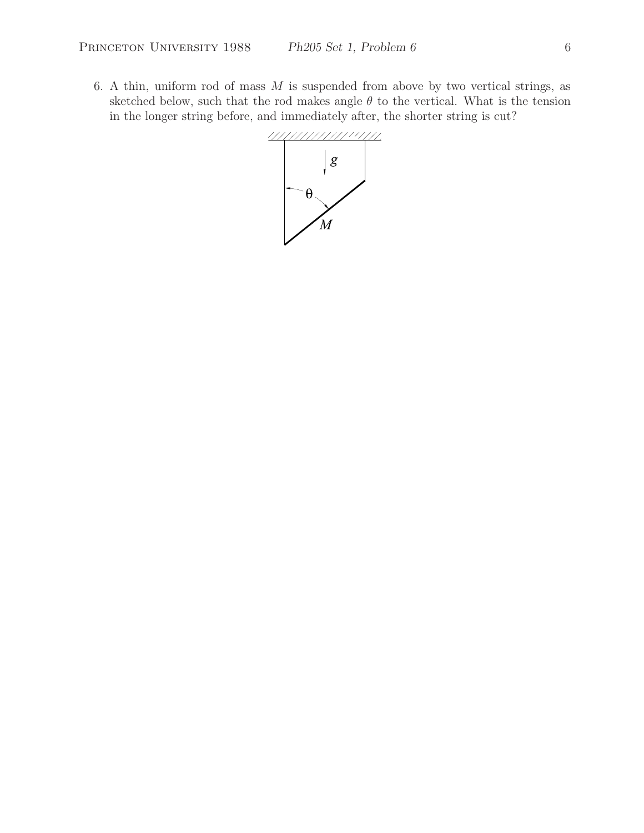6. A thin, uniform rod of mass  $M$  is suspended from above by two vertical strings, as sketched below, such that the rod makes angle  $\theta$  to the vertical. What is the tension in the longer string before, and immediately after, the shorter string is cut?

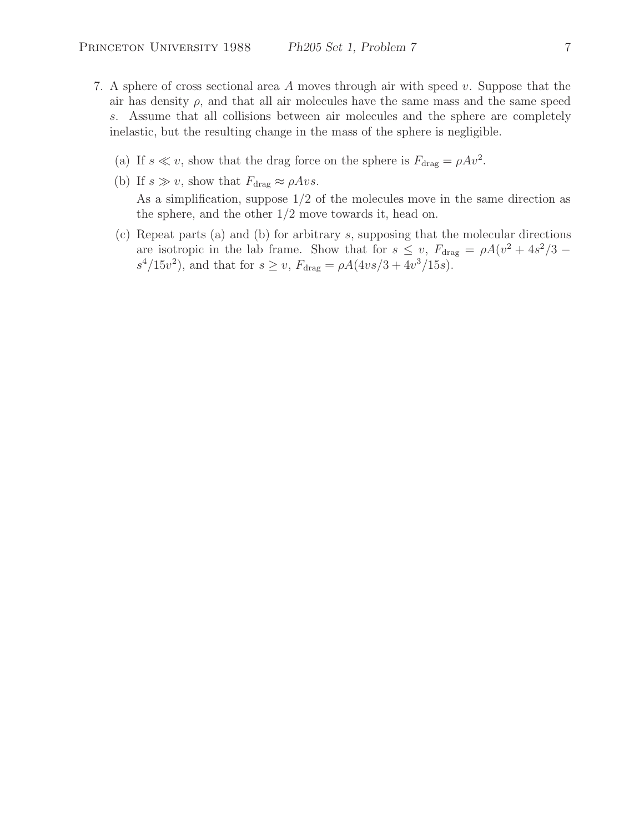- 7. A sphere of cross sectional area A moves through air with speed v. Suppose that the air has density  $\rho$ , and that all air molecules have the same mass and the same speed s. Assume that all collisions between air molecules and the sphere are completely inelastic, but the resulting change in the mass of the sphere is negligible.
	- (a) If  $s \ll v$ , show that the drag force on the sphere is  $F_{\text{drag}} = \rho A v^2$ .
	- (b) If  $s \gg v$ , show that  $F_{\text{drag}} \approx \rho A v s$ . As a simplification, suppose 1/2 of the molecules move in the same direction as the sphere, and the other 1/2 move towards it, head on.
	- (c) Repeat parts (a) and (b) for arbitrary s, supposing that the molecular directions are isotropic in the lab frame. Show that for  $s \leq v$ ,  $F_{drag} = \rho A(v^2 + 4s^2/3$  $s^4/15v^2$ , and that for  $s \ge v$ ,  $F_{\text{drag}} = \rho A(4vs/3 + 4v^3/15s)$ .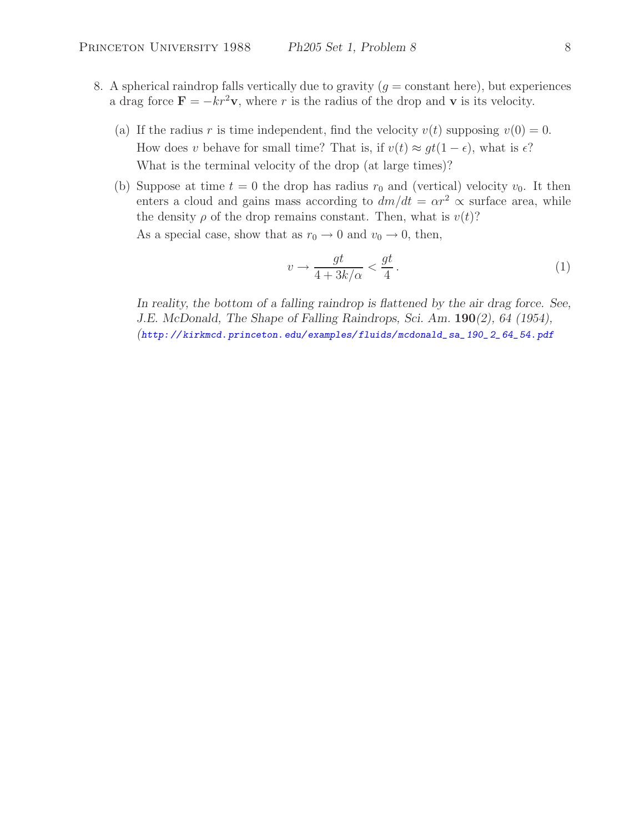- 8. A spherical raindrop falls vertically due to gravity  $(q = constant \text{ here})$ , but experiences a drag force  $\mathbf{F} = -k r^2 \mathbf{v}$ , where r is the radius of the drop and **v** is its velocity.
	- (a) If the radius r is time independent, find the velocity  $v(t)$  supposing  $v(0) = 0$ . How does v behave for small time? That is, if  $v(t) \approx gt(1-\epsilon)$ , what is  $\epsilon$ ? What is the terminal velocity of the drop (at large times)?
	- (b) Suppose at time  $t = 0$  the drop has radius  $r_0$  and (vertical) velocity  $v_0$ . It then enters a cloud and gains mass according to  $dm/dt = \alpha r^2 \propto$  surface area, while the density  $\rho$  of the drop remains constant. Then, what is  $v(t)$ ? As a special case, show that as  $r_0 \rightarrow 0$  and  $v_0 \rightarrow 0$ , then,

$$
v \to \frac{gt}{4 + 3k/\alpha} < \frac{gt}{4} \,. \tag{1}
$$

*In reality, the bottom of a falling raindrop is flattened by the air drag force. See, J.E. McDonald, The Shape of Falling Raindrops, Sci. Am.* **190***(2), 64 (1954), (http: // kirkmcd.princeton.edu/examples/ fluids/mcdonald\_sa\_ 190\_ 2\_ 64\_54.pdf*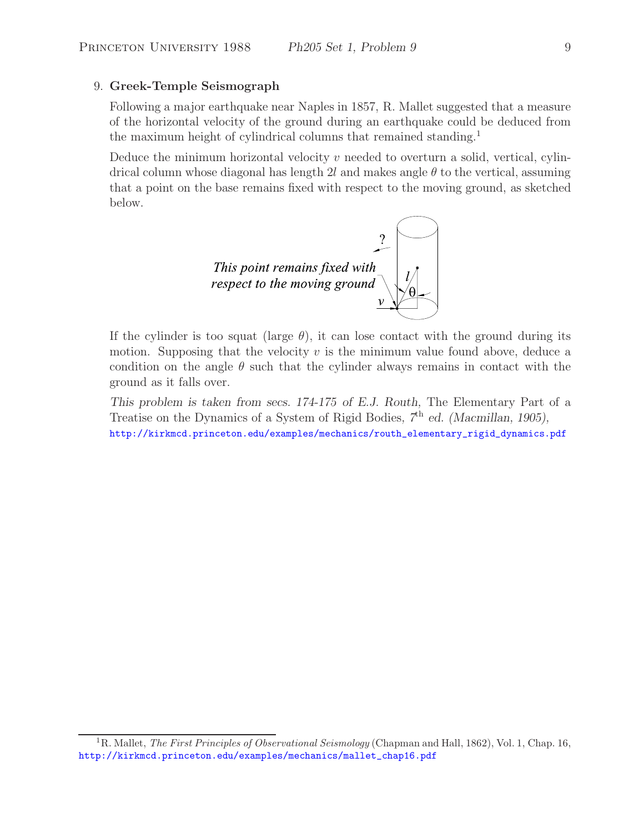#### 9. **Greek-Temple Seismograph**

Following a major earthquake near Naples in 1857, R. Mallet suggested that a measure of the horizontal velocity of the ground during an earthquake could be deduced from the maximum height of cylindrical columns that remained standing.<sup>1</sup>

Deduce the minimum horizontal velocity  $v$  needed to overturn a solid, vertical, cylindrical column whose diagonal has length 2l and makes angle  $\theta$  to the vertical, assuming that a point on the base remains fixed with respect to the moving ground, as sketched below.



If the cylinder is too squat (large  $\theta$ ), it can lose contact with the ground during its motion. Supposing that the velocity  $v$  is the minimum value found above, deduce a condition on the angle  $\theta$  such that the cylinder always remains in contact with the ground as it falls over.

*This problem is taken from secs. 174-175 of E.J. Routh,* The Elementary Part of a Treatise on the Dynamics of a System of Rigid Bodies*, 7*th *ed. (Macmillan, 1905),* http://kirkmcd.princeton.edu/examples/mechanics/routh\_elementary\_rigid\_dynamics.pdf

<sup>1</sup>R. Mallet, *The First Principles of Observational Seismology* (Chapman and Hall, 1862), Vol. 1, Chap. 16, http://kirkmcd.princeton.edu/examples/mechanics/mallet\_chap16.pdf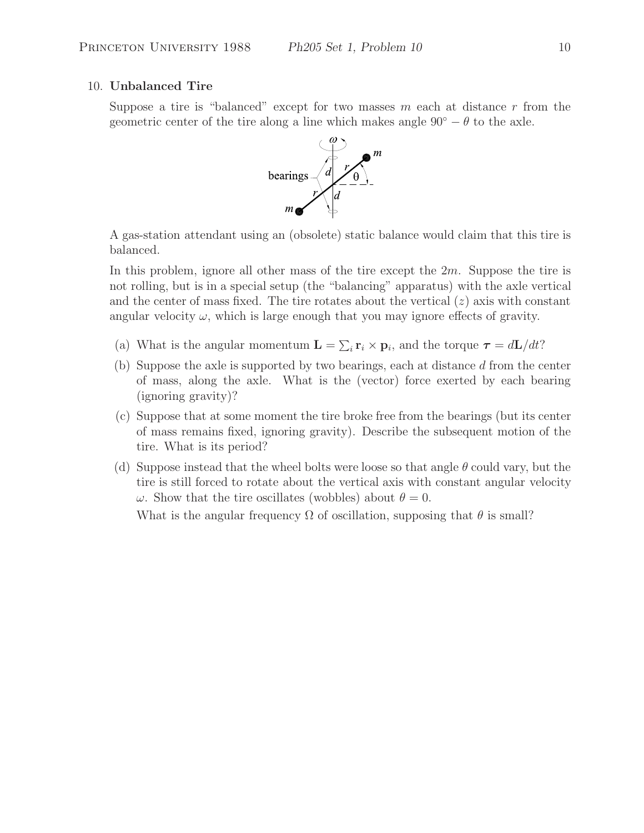#### 10. **Unbalanced Tire**

Suppose a tire is "balanced" except for two masses  $m$  each at distance  $r$  from the geometric center of the tire along a line which makes angle  $90° - \theta$  to the axle.



A gas-station attendant using an (obsolete) static balance would claim that this tire is balanced.

In this problem, ignore all other mass of the tire except the 2m. Suppose the tire is not rolling, but is in a special setup (the "balancing" apparatus) with the axle vertical and the center of mass fixed. The tire rotates about the vertical  $(z)$  axis with constant angular velocity  $\omega$ , which is large enough that you may ignore effects of gravity.

- (a) What is the angular momentum  $\mathbf{L} = \sum_i \mathbf{r}_i \times \mathbf{p}_i$ , and the torque  $\boldsymbol{\tau} = d\mathbf{L}/dt$ ?
- (b) Suppose the axle is supported by two bearings, each at distance d from the center of mass, along the axle. What is the (vector) force exerted by each bearing (ignoring gravity)?
- (c) Suppose that at some moment the tire broke free from the bearings (but its center of mass remains fixed, ignoring gravity). Describe the subsequent motion of the tire. What is its period?
- (d) Suppose instead that the wheel bolts were loose so that angle  $\theta$  could vary, but the tire is still forced to rotate about the vertical axis with constant angular velocity ω. Show that the tire oscillates (wobbles) about  $θ = 0$ .

What is the angular frequency  $\Omega$  of oscillation, supposing that  $\theta$  is small?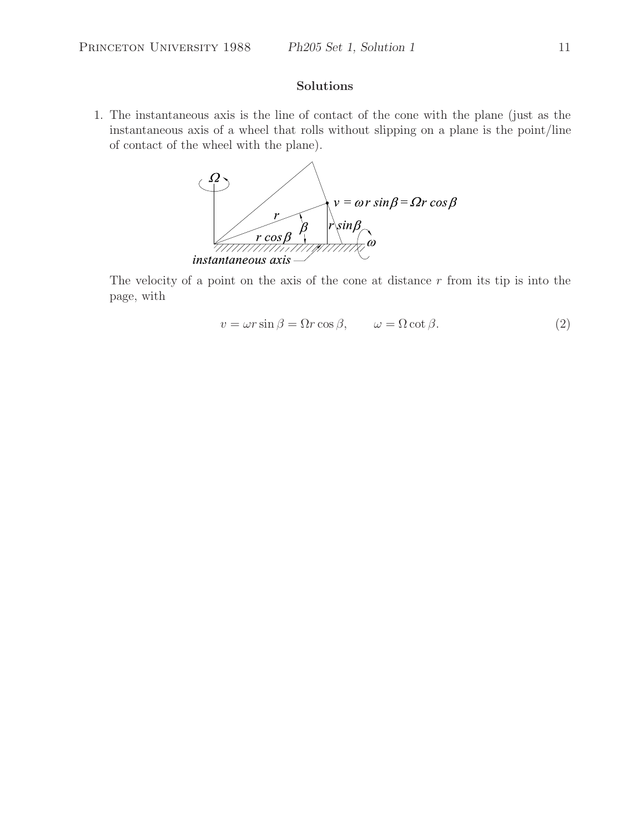#### **Solutions**

1. The instantaneous axis is the line of contact of the cone with the plane (just as the instantaneous axis of a wheel that rolls without slipping on a plane is the point/line of contact of the wheel with the plane).



The velocity of a point on the axis of the cone at distance  $r$  from its tip is into the page, with

$$
v = \omega r \sin \beta = \Omega r \cos \beta, \qquad \omega = \Omega \cot \beta. \tag{2}
$$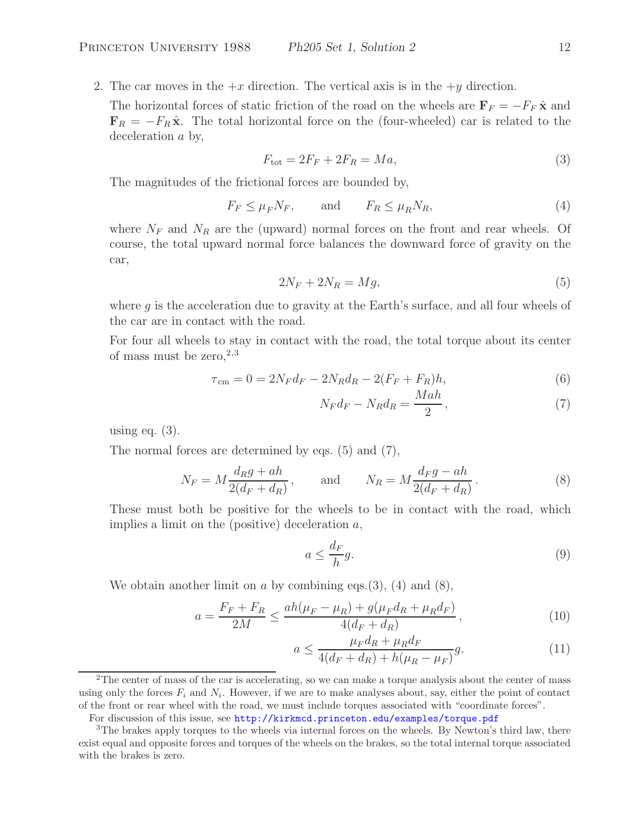2. The car moves in the  $+x$  direction. The vertical axis is in the  $+y$  direction.

The horizontal forces of static friction of the road on the wheels are  $\mathbf{F}_F = -F_F \hat{\mathbf{x}}$  and  $\mathbf{F}_R = -F_R \hat{\mathbf{x}}$ . The total horizontal force on the (four-wheeled) car is related to the deceleration a by,

$$
F_{\text{tot}} = 2F_F + 2F_R = Ma,\tag{3}
$$

The magnitudes of the frictional forces are bounded by,

$$
F_F \le \mu_F N_F, \qquad \text{and} \qquad F_R \le \mu_R N_R,\tag{4}
$$

where  $N_F$  and  $N_R$  are the (upward) normal forces on the front and rear wheels. Of course, the total upward normal force balances the downward force of gravity on the car,

$$
2N_F + 2N_R = Mg,\t\t(5)
$$

where  $g$  is the acceleration due to gravity at the Earth's surface, and all four wheels of the car are in contact with the road.

For four all wheels to stay in contact with the road, the total torque about its center of mass must be zero,  $2,3$ 

$$
\tau_{\rm cm} = 0 = 2N_F d_F - 2N_R d_R - 2(F_F + F_R)h,\tag{6}
$$

$$
N_F d_F - N_R d_R = \frac{Mah}{2},\qquad(7)
$$

using eq.  $(3)$ .

The normal forces are determined by eqs. (5) and (7),

$$
N_F = M \frac{d_R g + ah}{2(d_F + d_R)}, \quad \text{and} \quad N_R = M \frac{d_F g - ah}{2(d_F + d_R)}.
$$
 (8)

These must both be positive for the wheels to be in contact with the road, which implies a limit on the (positive) deceleration  $a$ ,

$$
a \le \frac{d_F}{h}g. \tag{9}
$$

We obtain another limit on  $a$  by combining eqs.(3), (4) and (8),

$$
a = \frac{F_F + F_R}{2M} \le \frac{ah(\mu_F - \mu_R) + g(\mu_F d_R + \mu_R d_F)}{4(d_F + d_R)},
$$
\n(10)

$$
a \le \frac{\mu_F d_R + \mu_R d_F}{4(d_F + d_R) + h(\mu_R - \mu_F)} g.
$$
\n(11)

<sup>2</sup>The center of mass of the car is accelerating, so we can make a torque analysis about the center of mass using only the forces  $F_i$  and  $N_i$ . However, if we are to make analyses about, say, either the point of contact of the front or rear wheel with the road, we must include torques associated with "coordinate forces".

For discussion of this issue, see http://kirkmcd.princeton.edu/examples/torque.pdf

 $3$ The brakes apply torques to the wheels via internal forces on the wheels. By Newton's third law, there exist equal and opposite forces and torques of the wheels on the brakes, so the total internal torque associated with the brakes is zero.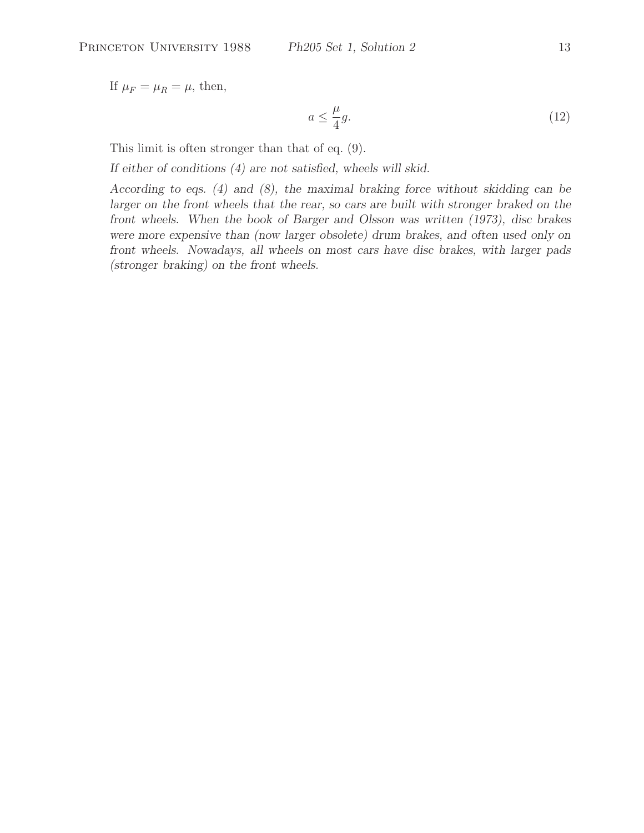If  $\mu_F = \mu_R = \mu$ , then,

$$
a \le \frac{\mu}{4}g. \tag{12}
$$

This limit is often stronger than that of eq. (9).

*If either of conditions (4) are not satisfied, wheels will skid.*

*According to eqs. (4) and (8), the maximal braking force without skidding can be larger on the front wheels that the rear, so cars are built with stronger braked on the front wheels. When the book of Barger and Olsson was written (1973), disc brakes were more expensive than (now larger obsolete) drum brakes, and often used only on front wheels. Nowadays, all wheels on most cars have disc brakes, with larger pads (stronger braking) on the front wheels.*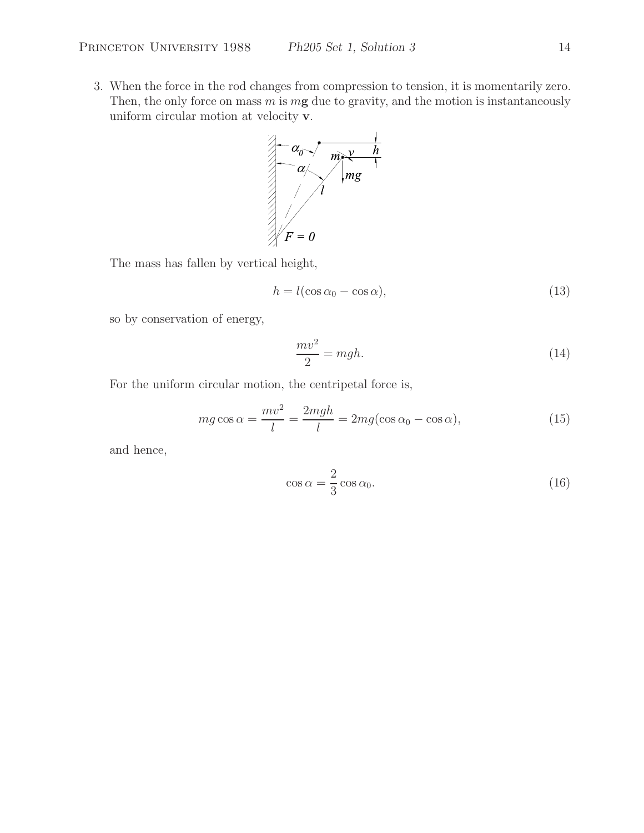3. When the force in the rod changes from compression to tension, it is momentarily zero. Then, the only force on mass m is m**g** due to gravity, and the motion is instantaneously uniform circular motion at velocity **v**.



The mass has fallen by vertical height,

$$
h = l(\cos \alpha_0 - \cos \alpha),\tag{13}
$$

so by conservation of energy,

$$
\frac{mv^2}{2} = mgh.
$$
\n(14)

For the uniform circular motion, the centripetal force is,

$$
mg\cos\alpha = \frac{mv^2}{l} = \frac{2mgh}{l} = 2mg(\cos\alpha_0 - \cos\alpha),\tag{15}
$$

and hence,

$$
\cos \alpha = \frac{2}{3} \cos \alpha_0. \tag{16}
$$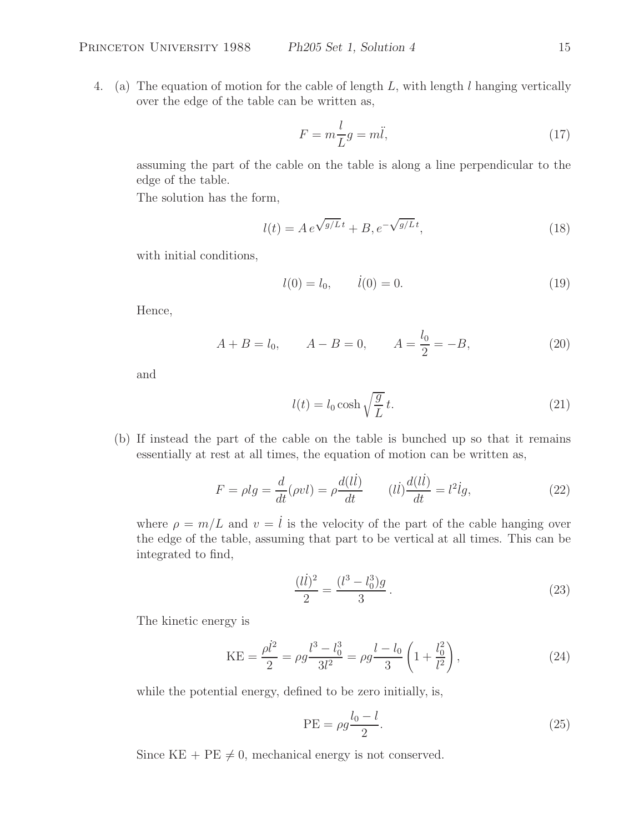$$
F = m\frac{l}{L}g = m\ddot{l},\tag{17}
$$

assuming the part of the cable on the table is along a line perpendicular to the edge of the table.

The solution has the form,

$$
l(t) = A e^{\sqrt{g/L}t} + B, e^{-\sqrt{g/L}t},
$$
\n(18)

with initial conditions,

$$
l(0) = l_0, \qquad \dot{l}(0) = 0. \tag{19}
$$

Hence,

$$
A + B = l_0,
$$
  $A - B = 0,$   $A = \frac{l_0}{2} = -B,$  (20)

and

$$
l(t) = l_0 \cosh\sqrt{\frac{g}{L}}t.
$$
\n(21)

(b) If instead the part of the cable on the table is bunched up so that it remains essentially at rest at all times, the equation of motion can be written as,

$$
F = \rho lg = \frac{d}{dt}(\rho vl) = \rho \frac{d(l\dot{l})}{dt} \qquad (l\dot{l})\frac{d(l\dot{l})}{dt} = l^2 \dot{l}g,\tag{22}
$$

where  $\rho = m/L$  and  $v = \dot{l}$  is the velocity of the part of the cable hanging over the edge of the table, assuming that part to be vertical at all times. This can be integrated to find,

$$
\frac{(l\dot{l})^2}{2} = \frac{(l^3 - l_0^3)g}{3}.
$$
\n(23)

The kinetic energy is

$$
KE = \frac{\rho l^2}{2} = \rho g \frac{l^3 - l_0^3}{3l^2} = \rho g \frac{l - l_0}{3} \left( 1 + \frac{l_0^2}{l^2} \right),\tag{24}
$$

while the potential energy, defined to be zero initially, is,

$$
PE = \rho g \frac{l_0 - l}{2}.
$$
\n(25)

Since  $KE + PE \neq 0$ , mechanical energy is not conserved.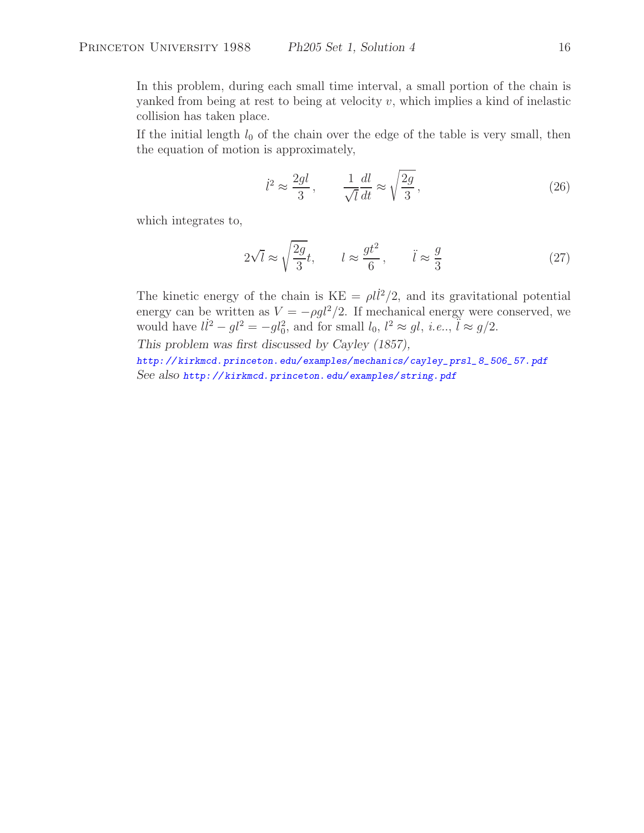In this problem, during each small time interval, a small portion of the chain is yanked from being at rest to being at velocity  $v$ , which implies a kind of inelastic collision has taken place.

If the initial length  $l_0$  of the chain over the edge of the table is very small, then the equation of motion is approximately,

$$
\dot{l}^2 \approx \frac{2gl}{3}, \qquad \frac{1}{\sqrt{l}} \frac{dl}{dt} \approx \sqrt{\frac{2g}{3}}, \tag{26}
$$

which integrates to,

$$
2\sqrt{l} \approx \sqrt{\frac{2g}{3}}t, \qquad l \approx \frac{gt^2}{6}, \qquad \ddot{l} \approx \frac{g}{3}
$$
 (27)

The kinetic energy of the chain is  $KE = \rho l \dot{l}^2/2$ , and its gravitational potential energy can be written as  $V = -\rho g l^2/2$ . If mechanical energy were conserved, we would have  $l\dot{l}^2 - gl^2 = -gl_0^2$ , and for small  $l_0$ ,  $l^2 \approx gl$ , *i.e.*.,  $\ddot{l} \approx g/2$ .

*This problem was first discussed by Cayley (1857),*

*http: // kirkmcd.princeton.edu/examples/mechanics/ cayley\_prsl\_ 8\_506\_57. pdf See also http: // kirkmcd. princeton. edu/ examples/ string. pdf*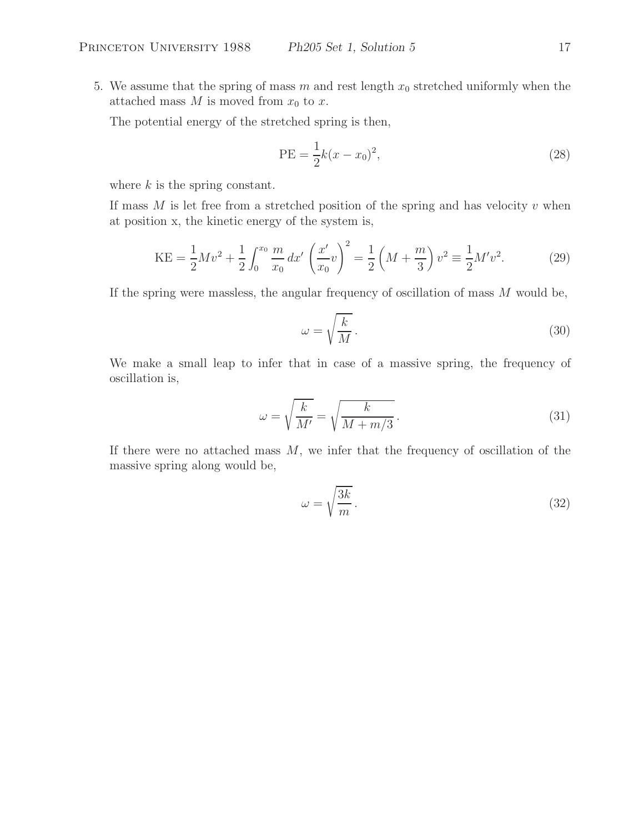5. We assume that the spring of mass m and rest length  $x_0$  stretched uniformly when the attached mass  $M$  is moved from  $x_0$  to  $x$ .

The potential energy of the stretched spring is then,

PE = 
$$
\frac{1}{2}k(x - x_0)^2
$$
, (28)

where  $k$  is the spring constant.

If mass  $M$  is let free from a stretched position of the spring and has velocity  $v$  when at position x, the kinetic energy of the system is,

$$
KE = \frac{1}{2}Mv^2 + \frac{1}{2}\int_0^{x_0} \frac{m}{x_0} dx' \left(\frac{x'}{x_0}v\right)^2 = \frac{1}{2}\left(M + \frac{m}{3}\right)v^2 \equiv \frac{1}{2}M'v^2.
$$
 (29)

If the spring were massless, the angular frequency of oscillation of mass  $M$  would be,

$$
\omega = \sqrt{\frac{k}{M}}.\tag{30}
$$

We make a small leap to infer that in case of a massive spring, the frequency of oscillation is,

$$
\omega = \sqrt{\frac{k}{M'}} = \sqrt{\frac{k}{M + m/3}}.
$$
\n(31)

If there were no attached mass  $M$ , we infer that the frequency of oscillation of the massive spring along would be,

$$
\omega = \sqrt{\frac{3k}{m}}.\tag{32}
$$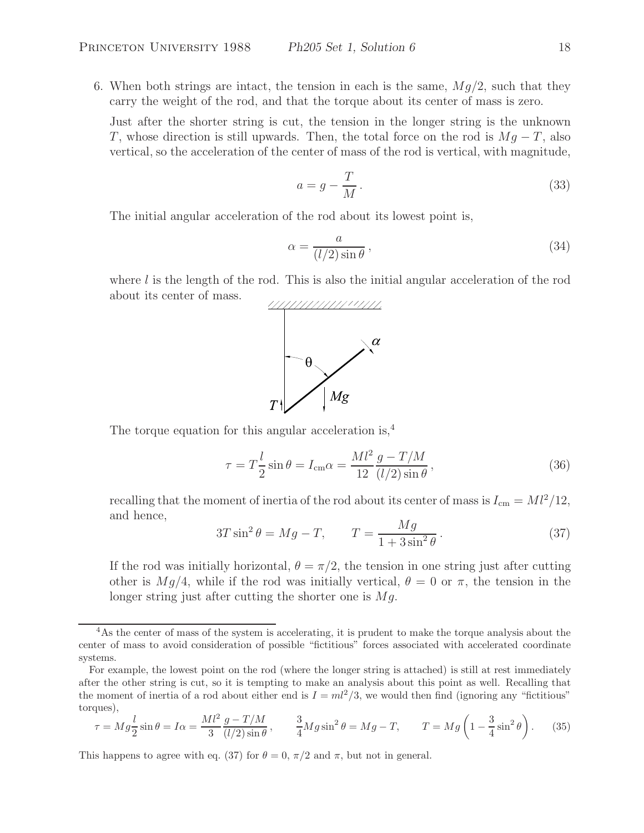6. When both strings are intact, the tension in each is the same,  $Mg/2$ , such that they carry the weight of the rod, and that the torque about its center of mass is zero.

Just after the shorter string is cut, the tension in the longer string is the unknown T, whose direction is still upwards. Then, the total force on the rod is  $Mg - T$ , also vertical, so the acceleration of the center of mass of the rod is vertical, with magnitude,

$$
a = g - \frac{T}{M} \,. \tag{33}
$$

The initial angular acceleration of the rod about its lowest point is,

$$
\alpha = \frac{a}{(l/2)\sin\theta},\tag{34}
$$

where  $l$  is the length of the rod. This is also the initial angular acceleration of the rod about its center of mass.



The torque equation for this angular acceleration is,<sup>4</sup>

$$
\tau = T\frac{l}{2}\sin\theta = I_{\rm cm}\alpha = \frac{Ml^2}{12}\frac{g - T/M}{(l/2)\sin\theta},\qquad(36)
$$

recalling that the moment of inertia of the rod about its center of mass is  $I_{cm} = Ml^2/12$ , and hence,

$$
3T\sin^2\theta = Mg - T, \qquad T = \frac{Mg}{1 + 3\sin^2\theta}.
$$
\n(37)

If the rod was initially horizontal,  $\theta = \pi/2$ , the tension in one string just after cutting other is  $Mg/4$ , while if the rod was initially vertical,  $\theta = 0$  or  $\pi$ , the tension in the longer string just after cutting the shorter one is  $Mg$ .

$$
\tau = Mg \frac{l}{2} \sin \theta = I\alpha = \frac{Ml^2}{3} \frac{g - T/M}{(l/2)\sin\theta}, \qquad \frac{3}{4} Mg \sin^2 \theta = Mg - T, \qquad T = Mg \left(1 - \frac{3}{4}\sin^2 \theta\right). \tag{35}
$$

This happens to agree with eq. (37) for  $\theta = 0$ ,  $\pi/2$  and  $\pi$ , but not in general.

<sup>&</sup>lt;sup>4</sup>As the center of mass of the system is accelerating, it is prudent to make the torque analysis about the center of mass to avoid consideration of possible "fictitious" forces associated with accelerated coordinate systems.

For example, the lowest point on the rod (where the longer string is attached) is still at rest immediately after the other string is cut, so it is tempting to make an analysis about this point as well. Recalling that the moment of inertia of a rod about either end is  $I = ml^2/3$ , we would then find (ignoring any "fictitious" torques),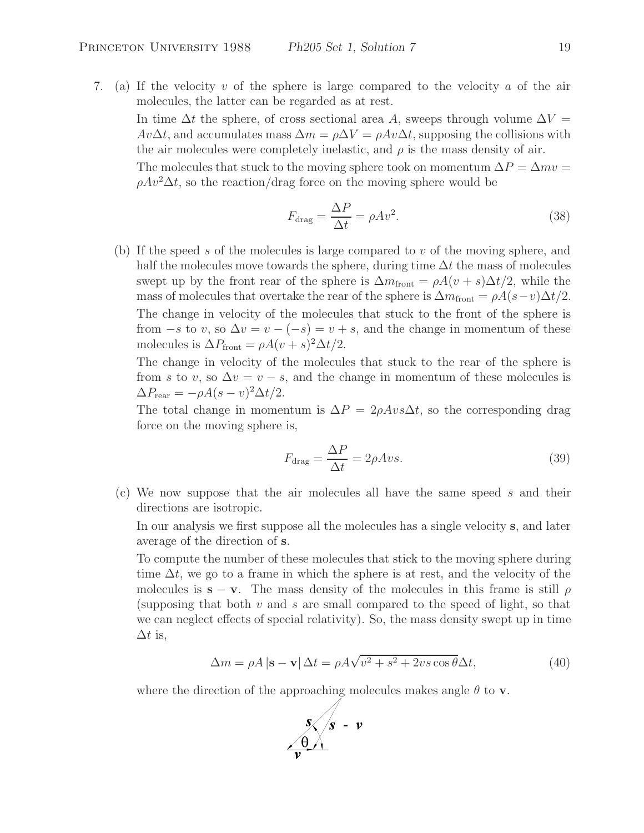7. (a) If the velocity v of the sphere is large compared to the velocity a of the air molecules, the latter can be regarded as at rest.

In time  $\Delta t$  the sphere, of cross sectional area A, sweeps through volume  $\Delta V =$  $Av\Delta t$ , and accumulates mass  $\Delta m = \rho \Delta V = \rho Av\Delta t$ , supposing the collisions with the air molecules were completely inelastic, and  $\rho$  is the mass density of air.

The molecules that stuck to the moving sphere took on momentum  $\Delta P = \Delta mv =$  $\rho A v^2 \Delta t$ , so the reaction/drag force on the moving sphere would be

$$
F_{\text{drag}} = \frac{\Delta P}{\Delta t} = \rho A v^2. \tag{38}
$$

(b) If the speed s of the molecules is large compared to v of the moving sphere, and half the molecules move towards the sphere, during time  $\Delta t$  the mass of molecules swept up by the front rear of the sphere is  $\Delta m_{\text{front}} = \rho A(v+s) \Delta t/2$ , while the mass of molecules that overtake the rear of the sphere is  $\Delta m_{\text{front}} = \rho A(s-v) \Delta t/2$ . The change in velocity of the molecules that stuck to the front of the sphere is from  $-s$  to v, so  $\Delta v = v - (-s) = v + s$ , and the change in momentum of these molecules is  $\Delta P_{\text{front}} = \rho A(v+s)^2 \Delta t/2$ .

The change in velocity of the molecules that stuck to the rear of the sphere is from s to v, so  $\Delta v = v - s$ , and the change in momentum of these molecules is  $\Delta P_{\text{rear}} = -\rho A (s - v)^2 \Delta t / 2.$ 

The total change in momentum is  $\Delta P = 2\rho A v s \Delta t$ , so the corresponding drag force on the moving sphere is,

$$
F_{\text{drag}} = \frac{\Delta P}{\Delta t} = 2\rho A vs. \tag{39}
$$

(c) We now suppose that the air molecules all have the same speed s and their directions are isotropic.

In our analysis we first suppose all the molecules has a single velocity **s**, and later average of the direction of **s**.

To compute the number of these molecules that stick to the moving sphere during time  $\Delta t$ , we go to a frame in which the sphere is at rest, and the velocity of the molecules is  $\mathbf{s} - \mathbf{v}$ . The mass density of the molecules in this frame is still  $\rho$ (supposing that both  $v$  and  $s$  are small compared to the speed of light, so that we can neglect effects of special relativity). So, the mass density swept up in time  $\Delta t$  is,

$$
\Delta m = \rho A \left| \mathbf{s} - \mathbf{v} \right| \Delta t = \rho A \sqrt{v^2 + s^2 + 2vs \cos \theta} \Delta t,\tag{40}
$$

where the direction of the approaching molecules makes angle  $\theta$  to **v**.

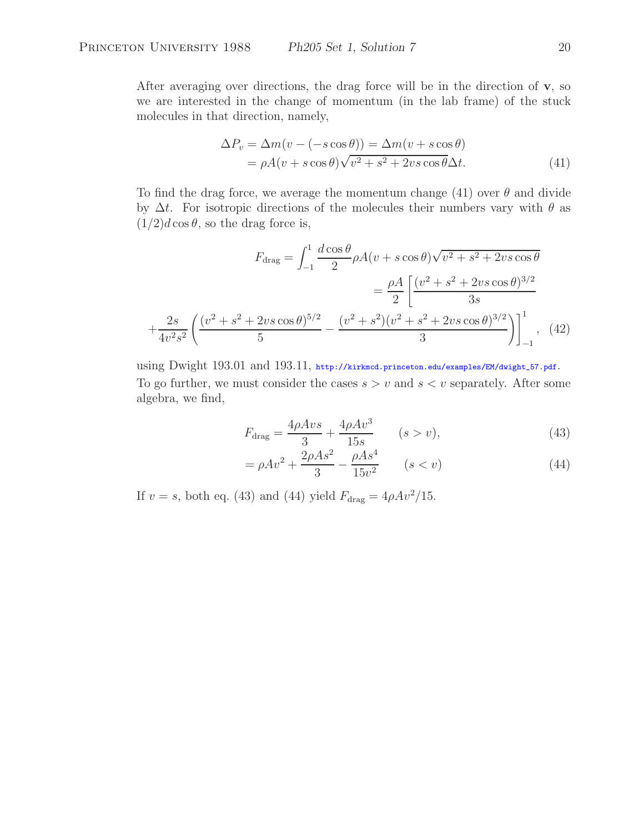After averaging over directions, the drag force will be in the direction of **v**, so we are interested in the change of momentum (in the lab frame) of the stuck molecules in that direction, namely,

$$
\Delta P_v = \Delta m(v - (-s \cos \theta)) = \Delta m(v + s \cos \theta)
$$
  
=  $\rho A(v + s \cos \theta) \sqrt{v^2 + s^2 + 2vs \cos \theta} \Delta t.$  (41)

To find the drag force, we average the momentum change (41) over  $\theta$  and divide by  $\Delta t$ . For isotropic directions of the molecules their numbers vary with  $\theta$  as  $(1/2)d\cos\theta$ , so the drag force is,

$$
F_{\text{drag}} = \int_{-1}^{1} \frac{d \cos \theta}{2} \rho A(v + s \cos \theta) \sqrt{v^2 + s^2 + 2vs \cos \theta}
$$

$$
= \frac{\rho A}{2} \left[ \frac{(v^2 + s^2 + 2vs \cos \theta)^{3/2}}{3s} + \frac{2s}{4v^2 s^2} \left( \frac{(v^2 + s^2 + 2vs \cos \theta)^{5/2}}{5} - \frac{(v^2 + s^2)(v^2 + s^2 + 2vs \cos \theta)^{3/2}}{3} \right) \right]_{-1}^{1}, \quad (42)
$$

using Dwight 193.01 and 193.11, http://kirkmcd.princeton.edu/examples/EM/dwight\_57.pdf. To go further, we must consider the cases  $s>v$  and  $s < v$  separately. After some algebra, we find,

$$
F_{\rm drag} = \frac{4\rho A v s}{3} + \frac{4\rho A v^3}{15s} \qquad (s > v),
$$
 (43)

$$
= \rho A v^2 + \frac{2\rho A s^2}{3} - \frac{\rho A s^4}{15v^2} \qquad (s < v)
$$
\n(44)

If  $v = s$ , both eq. (43) and (44) yield  $F_{\text{drag}} = 4\rho A v^2 / 15$ .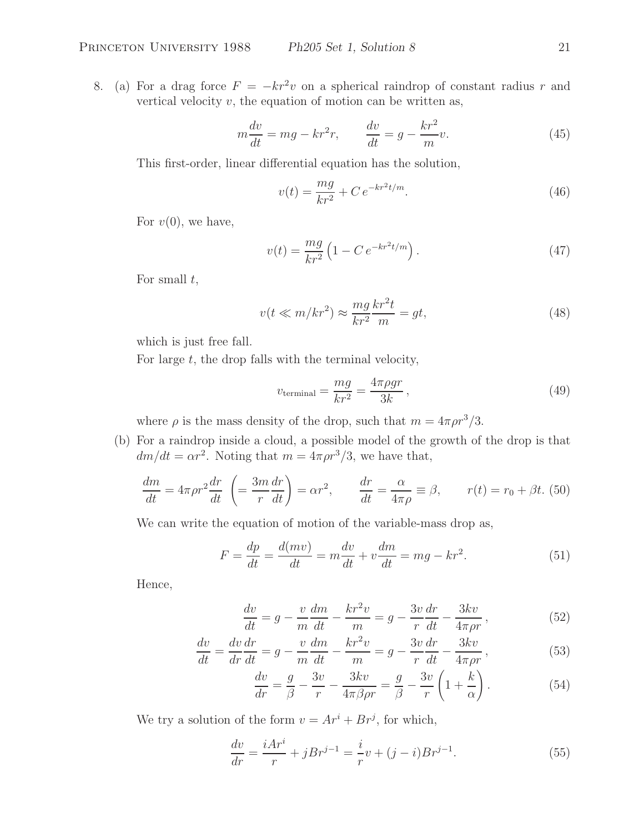8. (a) For a drag force  $F = -kr^2v$  on a spherical raindrop of constant radius r and vertical velocity  $v$ , the equation of motion can be written as,

$$
m\frac{dv}{dt} = mg - kr^2r, \qquad \frac{dv}{dt} = g - \frac{kr^2}{m}v.
$$
 (45)

This first-order, linear differential equation has the solution,

$$
v(t) = \frac{mg}{kr^2} + Ce^{-kr^2t/m}.
$$
\n(46)

For  $v(0)$ , we have,

$$
v(t) = \frac{mg}{kr^2} \left( 1 - C e^{-kr^2 t/m} \right). \tag{47}
$$

For small  $t$ ,

$$
v(t \ll m/kr^2) \approx \frac{mg}{kr^2} \frac{kr^2t}{m} = gt,
$$
\n(48)

which is just free fall.

For large  $t$ , the drop falls with the terminal velocity,

$$
v_{\text{terminal}} = \frac{mg}{kr^2} = \frac{4\pi\rho gr}{3k},\tag{49}
$$

where  $\rho$  is the mass density of the drop, such that  $m = 4\pi \rho r^3/3$ .

(b) For a raindrop inside a cloud, a possible model of the growth of the drop is that  $dm/dt = \alpha r^2$ . Noting that  $m = 4\pi \rho r^3/3$ , we have that,

$$
\frac{dm}{dt} = 4\pi\rho r^2 \frac{dr}{dt} \left( = \frac{3m}{r} \frac{dr}{dt} \right) = \alpha r^2, \qquad \frac{dr}{dt} = \frac{\alpha}{4\pi\rho} \equiv \beta, \qquad r(t) = r_0 + \beta t. \tag{50}
$$

We can write the equation of motion of the variable-mass drop as,

$$
F = \frac{dp}{dt} = \frac{d(mv)}{dt} = m\frac{dv}{dt} + v\frac{dm}{dt} = mg - kr^2.
$$
 (51)

Hence,

$$
\frac{dv}{dt} = g - \frac{v}{m}\frac{dm}{dt} - \frac{kr^2v}{m} = g - \frac{3v}{r}\frac{dr}{dt} - \frac{3kv}{4\pi\rho r},\tag{52}
$$

$$
\frac{dv}{dt} = \frac{dv}{dr}\frac{dr}{dt} = g - \frac{v}{m}\frac{dm}{dt} - \frac{kr^2v}{m} = g - \frac{3v}{r}\frac{dr}{dt} - \frac{3kv}{4\pi\rho r},\tag{53}
$$

$$
\frac{dv}{dr} = \frac{g}{\beta} - \frac{3v}{r} - \frac{3kv}{4\pi\beta\rho r} = \frac{g}{\beta} - \frac{3v}{r} \left( 1 + \frac{k}{\alpha} \right). \tag{54}
$$

We try a solution of the form  $v = Ar^i + Br^j$ , for which,

$$
\frac{dv}{dr} = \frac{iAr^{i}}{r} + jBr^{j-1} = \frac{i}{r}v + (j-i)Br^{j-1}.
$$
\n(55)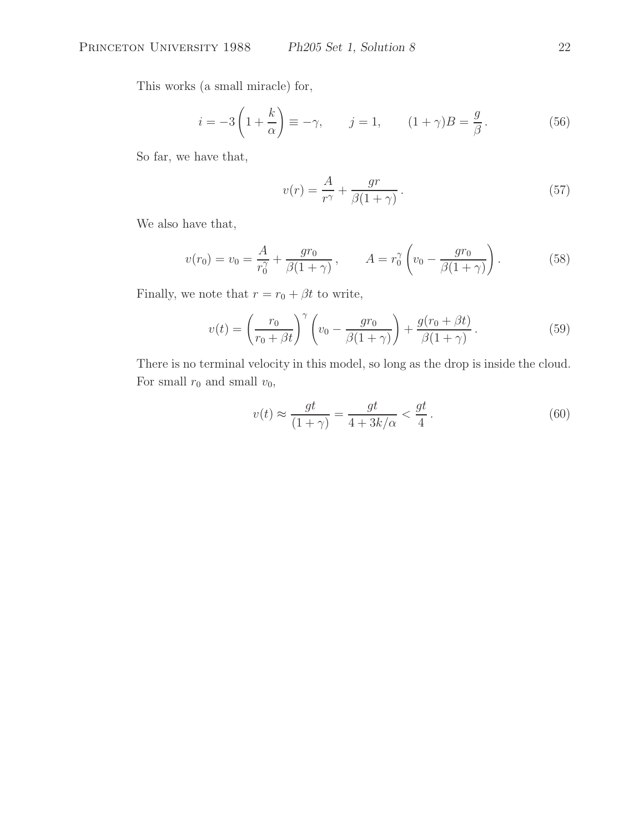This works (a small miracle) for,

$$
i = -3\left(1 + \frac{k}{\alpha}\right) \equiv -\gamma, \qquad j = 1, \qquad (1 + \gamma)B = \frac{g}{\beta}.
$$
 (56)

So far, we have that,

$$
v(r) = \frac{A}{r^{\gamma}} + \frac{gr}{\beta(1+\gamma)}.
$$
\n(57)

We also have that,

$$
v(r_0) = v_0 = \frac{A}{r_0^{\gamma}} + \frac{gr_0}{\beta(1+\gamma)}, \qquad A = r_0^{\gamma} \left( v_0 - \frac{gr_0}{\beta(1+\gamma)} \right). \tag{58}
$$

Finally, we note that  $r = r_0 + \beta t$  to write,

$$
v(t) = \left(\frac{r_0}{r_0 + \beta t}\right)^{\gamma} \left(v_0 - \frac{gr_0}{\beta(1 + \gamma)}\right) + \frac{g(r_0 + \beta t)}{\beta(1 + \gamma)}.
$$
\n(59)

There is no terminal velocity in this model, so long as the drop is inside the cloud. For small  $r_0$  and small  $v_0$ ,

$$
v(t) \approx \frac{gt}{(1+\gamma)} = \frac{gt}{4 + 3k/\alpha} < \frac{gt}{4} \,. \tag{60}
$$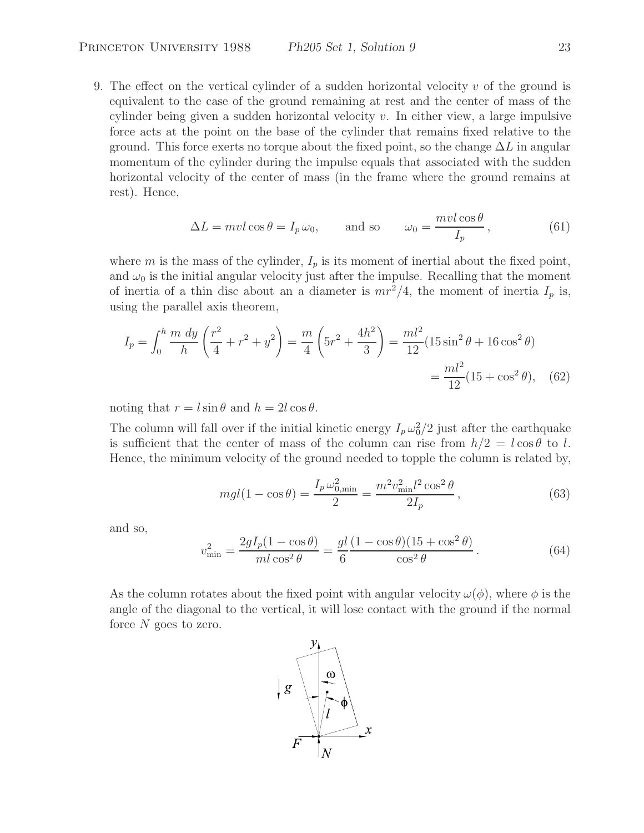9. The effect on the vertical cylinder of a sudden horizontal velocity  $v$  of the ground is equivalent to the case of the ground remaining at rest and the center of mass of the cylinder being given a sudden horizontal velocity  $v$ . In either view, a large impulsive force acts at the point on the base of the cylinder that remains fixed relative to the ground. This force exerts no torque about the fixed point, so the change  $\Delta L$  in angular momentum of the cylinder during the impulse equals that associated with the sudden horizontal velocity of the center of mass (in the frame where the ground remains at rest). Hence,

$$
\Delta L = mvl \cos \theta = I_p \,\omega_0, \qquad \text{and so} \qquad \omega_0 = \frac{mvl \cos \theta}{I_p}, \tag{61}
$$

where m is the mass of the cylinder,  $I_p$  is its moment of inertial about the fixed point, and  $\omega_0$  is the initial angular velocity just after the impulse. Recalling that the moment of inertia of a thin disc about an a diameter is  $mr^2/4$ , the moment of inertia  $I_p$  is, using the parallel axis theorem,

$$
I_p = \int_0^h \frac{m \, dy}{h} \left(\frac{r^2}{4} + r^2 + y^2\right) = \frac{m}{4} \left(5r^2 + \frac{4h^2}{3}\right) = \frac{ml^2}{12} (15\sin^2\theta + 16\cos^2\theta)
$$

$$
= \frac{ml^2}{12} (15 + \cos^2\theta), \quad (62)
$$

noting that  $r = l \sin \theta$  and  $h = 2l \cos \theta$ .

The column will fall over if the initial kinetic energy  $I_p \omega_0^2/2$  just after the earthquake is sufficient that the center of mass of the column can rise from  $h/2 = l \cos \theta$  to l. Hence, the minimum velocity of the ground needed to topple the column is related by,

$$
mgl(1 - \cos\theta) = \frac{I_p \,\omega_{0,\text{min}}^2}{2} = \frac{m^2 v_{\text{min}}^2 l^2 \cos^2\theta}{2I_p},\tag{63}
$$

and so,

$$
v_{\min}^2 = \frac{2gI_p(1 - \cos\theta)}{m l \cos^2\theta} = \frac{gl(1 - \cos\theta)(15 + \cos^2\theta)}{\cos^2\theta}.
$$
 (64)

As the column rotates about the fixed point with angular velocity  $\omega(\phi)$ , where  $\phi$  is the angle of the diagonal to the vertical, it will lose contact with the ground if the normal force  $N$  goes to zero.

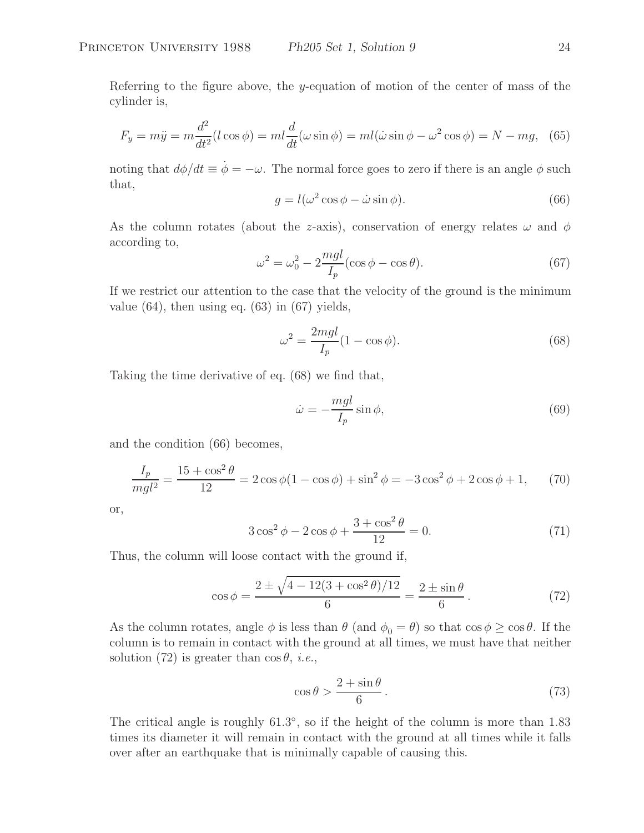Referring to the figure above, the y-equation of motion of the center of mass of the cylinder is,

$$
F_y = m\ddot{y} = m\frac{d^2}{dt^2}(l\cos\phi) = ml\frac{d}{dt}(\omega\sin\phi) = ml(\dot{\omega}\sin\phi - \omega^2\cos\phi) = N - mg,\tag{65}
$$

noting that  $d\phi/dt \equiv \dot{\phi} = -\omega$ . The normal force goes to zero if there is an angle  $\phi$  such that,

$$
g = l(\omega^2 \cos \phi - \dot{\omega} \sin \phi). \tag{66}
$$

As the column rotates (about the z-axis), conservation of energy relates  $\omega$  and  $\phi$ according to,

$$
\omega^2 = \omega_0^2 - 2\frac{mgl}{I_p}(\cos\phi - \cos\theta). \tag{67}
$$

If we restrict our attention to the case that the velocity of the ground is the minimum value  $(64)$ , then using eq.  $(63)$  in  $(67)$  yields,

$$
\omega^2 = \frac{2mgl}{I_p} (1 - \cos \phi). \tag{68}
$$

Taking the time derivative of eq. (68) we find that,

$$
\dot{\omega} = -\frac{mgl}{I_p} \sin \phi,\tag{69}
$$

and the condition (66) becomes,

$$
\frac{I_p}{mgl^2} = \frac{15 + \cos^2 \theta}{12} = 2\cos\phi(1 - \cos\phi) + \sin^2\phi = -3\cos^2\phi + 2\cos\phi + 1,\tag{70}
$$

or,

$$
3\cos^2\phi - 2\cos\phi + \frac{3 + \cos^2\theta}{12} = 0.
$$
 (71)

Thus, the column will loose contact with the ground if,

$$
\cos \phi = \frac{2 \pm \sqrt{4 - 12(3 + \cos^2 \theta)/12}}{6} = \frac{2 \pm \sin \theta}{6}.
$$
 (72)

As the column rotates, angle  $\phi$  is less than  $\theta$  (and  $\phi_0 = \theta$ ) so that  $\cos \phi \geq \cos \theta$ . If the column is to remain in contact with the ground at all times, we must have that neither solution (72) is greater than  $\cos \theta$ , *i.e.*,

$$
\cos \theta > \frac{2 + \sin \theta}{6} \,. \tag{73}
$$

The critical angle is roughly 61.3◦, so if the height of the column is more than 1.83 times its diameter it will remain in contact with the ground at all times while it falls over after an earthquake that is minimally capable of causing this.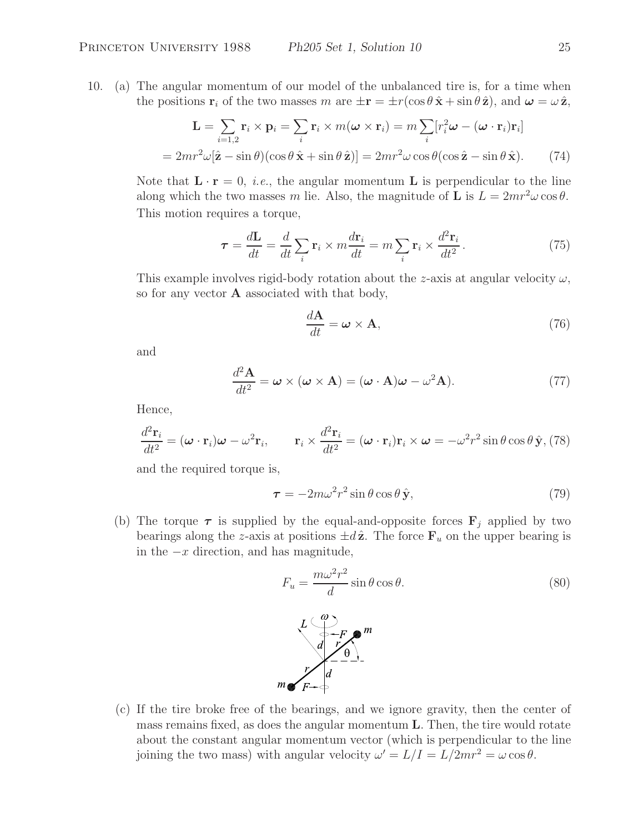10. (a) The angular momentum of our model of the unbalanced tire is, for a time when the positions **r**<sub>i</sub> of the two masses m are  $\pm \mathbf{r} = \pm r(\cos \theta \hat{\mathbf{x}} + \sin \theta \hat{\mathbf{z}})$ , and  $\boldsymbol{\omega} = \omega \hat{\mathbf{z}}$ ,

$$
\mathbf{L} = \sum_{i=1,2} \mathbf{r}_i \times \mathbf{p}_i = \sum_i \mathbf{r}_i \times m(\boldsymbol{\omega} \times \mathbf{r}_i) = m \sum_i [r_i^2 \boldsymbol{\omega} - (\boldsymbol{\omega} \cdot \mathbf{r}_i) \mathbf{r}_i]
$$
  
=  $2mr^2 \omega[\hat{\mathbf{z}} - \sin \theta)(\cos \theta \hat{\mathbf{x}} + \sin \theta \hat{\mathbf{z}})] = 2mr^2 \omega \cos \theta(\cos \hat{\mathbf{z}} - \sin \theta \hat{\mathbf{x}}).$  (74)

Note that  $\mathbf{L} \cdot \mathbf{r} = 0$ , *i.e.*, the angular momentum **L** is perpendicular to the line along which the two masses m lie. Also, the magnitude of **L** is  $L = 2mr^2\omega\cos\theta$ . This motion requires a torque,

$$
\tau = \frac{d\mathbf{L}}{dt} = \frac{d}{dt} \sum_{i} \mathbf{r}_{i} \times m \frac{d\mathbf{r}_{i}}{dt} = m \sum_{i} \mathbf{r}_{i} \times \frac{d^{2} \mathbf{r}_{i}}{dt^{2}}.
$$
 (75)

This example involves rigid-body rotation about the z-axis at angular velocity  $\omega$ , so for any vector **A** associated with that body,

$$
\frac{d\mathbf{A}}{dt} = \boldsymbol{\omega} \times \mathbf{A},\tag{76}
$$

and

$$
\frac{d^2\mathbf{A}}{dt^2} = \boldsymbol{\omega} \times (\boldsymbol{\omega} \times \mathbf{A}) = (\boldsymbol{\omega} \cdot \mathbf{A})\boldsymbol{\omega} - \omega^2 \mathbf{A}).
$$
 (77)

Hence,

$$
\frac{d^2 \mathbf{r}_i}{dt^2} = (\boldsymbol{\omega} \cdot \mathbf{r}_i) \boldsymbol{\omega} - \omega^2 \mathbf{r}_i, \qquad \mathbf{r}_i \times \frac{d^2 \mathbf{r}_i}{dt^2} = (\boldsymbol{\omega} \cdot \mathbf{r}_i) \mathbf{r}_i \times \boldsymbol{\omega} = -\omega^2 r^2 \sin \theta \cos \theta \,\hat{\mathbf{y}}, \tag{78}
$$

and the required torque is,

$$
\tau = -2m\omega^2 r^2 \sin \theta \cos \theta \,\hat{\mathbf{y}},\tag{79}
$$

(b) The torque  $\tau$  is supplied by the equal-and-opposite forces  $\mathbf{F}_i$  applied by two bearings along the z-axis at positions  $\pm d\hat{z}$ . The force  $\mathbf{F}_u$  on the upper bearing is in the  $-x$  direction, and has magnitude,

$$
F_u = \frac{m\omega^2 r^2}{d} \sin \theta \cos \theta.
$$
\n
$$
\begin{array}{c}\nL \left( \begin{array}{c}\n\omega \\ \n\omega - F \\
\omega - F\n\end{array} \right) \\
M \left( \begin{array}{c}\n\omega \\ \n\omega - F \\
\omega - F\n\end{array} \right) \\
m \left( \begin{array}{c}\n\omega \\ \n\omega \\ F + \omega\n\end{array} \right) \\
m \left( \begin{array}{c}\n\omega \\ \n\omega \\ F + \omega\n\end{array} \right) \\
m \left( \begin{array}{c}\n\omega \\ \n\omega \\ F + \omega\n\end{array} \right) \\
m \left( \begin{array}{c}\n\omega \\ \n\omega \\ F + \omega\n\end{array} \right) \\
m \left( \begin{array}{c}\n\omega \\ \n\omega \\ F + \omega\n\end{array} \right) \\
m \left( \begin{array}{c}\n\omega \\ \n\omega \\ F + \omega\n\end{array} \right) \\
m \left( \begin{array}{c}\n\omega \\ \n\omega \\ F + \omega\n\end{array} \right) \\
m \left( \begin{array}{c}\n\omega \\ \n\omega \\ F + \omega\n\end{array} \right) \\
m \left( \begin{array}{c}\n\omega \\ \n\omega \\ F + \omega\n\end{array} \right) \\
m \left( \begin{array}{c}\n\omega \\ \n\omega \\ F + \omega\n\end{array} \right) \\
m \left( \begin{array}{c}\n\omega \\ \n\omega \\ F + \omega\n\end{array} \right) \\
m \left( \begin{array}{c}\n\omega \\ \n\omega \\ F + \omega\n\end{array} \right) \\
m \left( \begin{array}{c}\n\omega \\ \n\omega \\ F + \omega\n\end{array} \right) \\
m \left( \begin{array}{c}\n\omega \\ \n\omega \\ F + \omega\n\end{array} \right) \\
m \left( \begin{array}{c}\n\omega \\ \n\omega \\ F + \omega\n\end{array} \right) \\
m \left( \begin{array}{c}\n\omega \\ \n\omega \\ F + \omega\n\end{array} \right) \\
m \left( \begin{array}{c}\n\omega \\ \n\omega \\ F + \omega\n\end{array} \right) \\
m \left( \begin{array}{c}\n\omega \\ \n\omega \\ F + \omega\n\end{array} \right) \\
m \left( \begin{array}{c}\n\omega \\ \n\omega \\ F + \omega\n\end{array} \right)
$$

(c) If the tire broke free of the bearings, and we ignore gravity, then the center of mass remains fixed, as does the angular momentum **L**. Then, the tire would rotate about the constant angular momentum vector (which is perpendicular to the line joining the two mass) with angular velocity  $\omega' = L/I = L/2mr^2 = \omega \cos \theta$ .